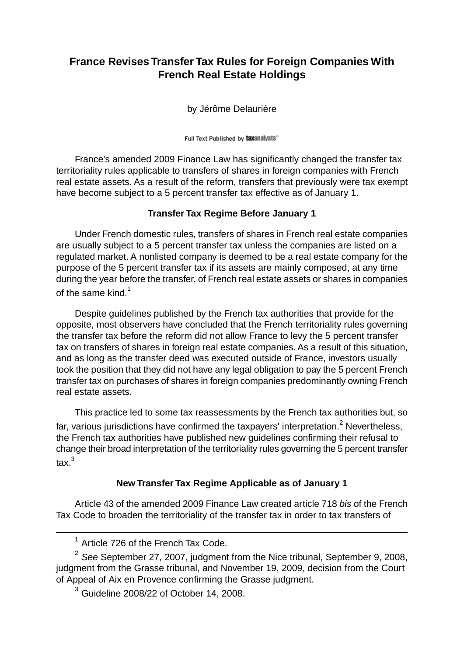## **France Revises Transfer Tax Rules for Foreign Companies With French Real Estate Holdings**

by Jérôme Delaurière

Full Text Published by taxanalysts®

France's amended 2009 Finance Law has significantly changed the transfer tax territoriality rules applicable to transfers of shares in foreign companies with French real estate assets. As a result of the reform, transfers that previously were tax exempt have become subject to a 5 percent transfer tax effective as of January 1.

## **Transfer Tax Regime Before January 1**

Under French domestic rules, transfers of shares in French real estate companies are usually subject to a 5 percent transfer tax unless the companies are listed on a regulated market. A nonlisted company is deemed to be a real estate company for the purpose of the 5 percent transfer tax if its assets are mainly composed, at any time during the year before the transfer, of French real estate assets or shares in companies of the same kind. $<sup>1</sup>$ </sup>

Despite guidelines published by the French tax authorities that provide for the opposite, most observers have concluded that the French territoriality rules governing the transfer tax before the reform did not allow France to levy the 5 percent transfer tax on transfers of shares in foreign real estate companies. As a result of this situation, and as long as the transfer deed was executed outside of France, investors usually took the position that they did not have any legal obligation to pay the 5 percent French transfer tax on purchases of shares in foreign companies predominantly owning French real estate assets.

This practice led to some tax reassessments by the French tax authorities but, so far, various jurisdictions have confirmed the taxpayers' interpretation.<sup>2</sup> Nevertheless, the French tax authorities have published new guidelines confirming their refusal to change their broad interpretation of the territoriality rules governing the 5 percent transfer tax.<sup>3</sup>

## **New Transfer Tax Regime Applicable as of January 1**

Article 43 of the amended 2009 Finance Law created article 718 *bis* of the French Tax Code to broaden the territoriality of the transfer tax in order to tax transfers of

<sup>&</sup>lt;sup>1</sup> Article 726 of the French Tax Code.

<sup>2</sup> *See* September 27, 2007, judgment from the Nice tribunal, September 9, 2008, judgment from the Grasse tribunal, and November 19, 2009, decision from the Court of Appeal of Aix en Provence confirming the Grasse judgment.

 $3$  Guideline 2008/22 of October 14, 2008.